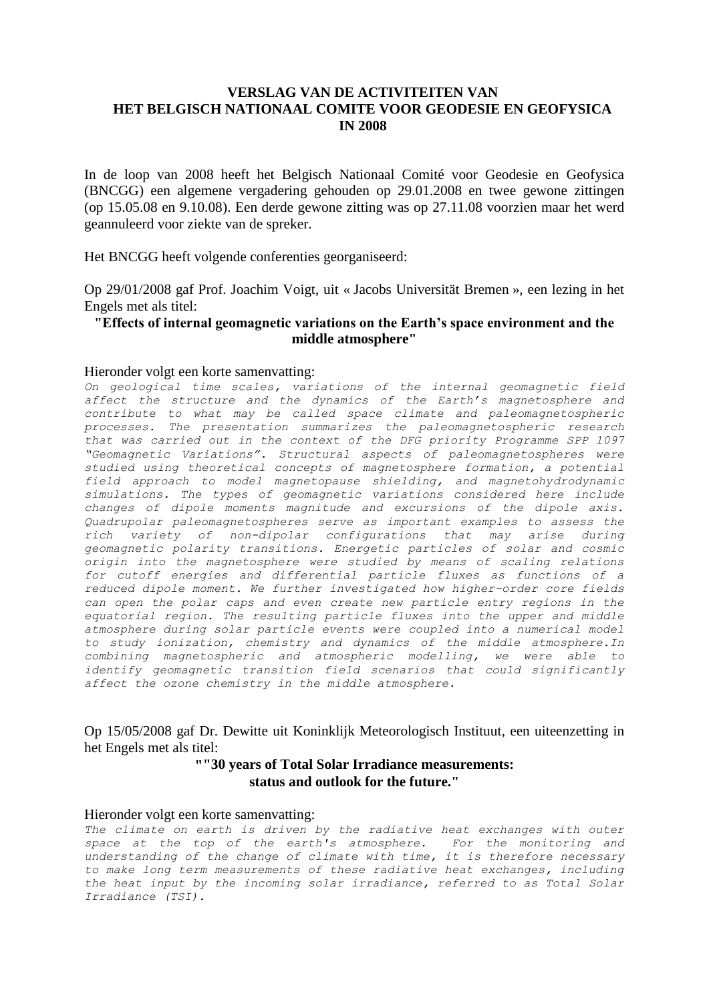# **VERSLAG VAN DE ACTIVITEITEN VAN HET BELGISCH NATIONAAL COMITE VOOR GEODESIE EN GEOFYSICA IN 2008**

In de loop van 2008 heeft het Belgisch Nationaal Comité voor Geodesie en Geofysica (BNCGG) een algemene vergadering gehouden op 29.01.2008 en twee gewone zittingen (op 15.05.08 en 9.10.08). Een derde gewone zitting was op 27.11.08 voorzien maar het werd geannuleerd voor ziekte van de spreker.

Het BNCGG heeft volgende conferenties georganiseerd:

Op 29/01/2008 gaf Prof. Joachim Voigt, uit « Jacobs Universität Bremen », een lezing in het Engels met als titel:

### **"Effects of internal geomagnetic variations on the Earth's space environment and the middle atmosphere"**

#### Hieronder volgt een korte samenvatting:

*On geological time scales, variations of the internal geomagnetic field affect the structure and the dynamics of the Earth's magnetosphere and contribute to what may be called space climate and paleomagnetospheric processes. The presentation summarizes the paleomagnetospheric research that was carried out in the context of the DFG priority Programme SPP 1097 "Geomagnetic Variations". Structural aspects of paleomagnetospheres were studied using theoretical concepts of magnetosphere formation, a potential field approach to model magnetopause shielding, and magnetohydrodynamic simulations. The types of geomagnetic variations considered here include changes of dipole moments magnitude and excursions of the dipole axis. Quadrupolar paleomagnetospheres serve as important examples to assess the rich variety of non-dipolar configurations that may arise during geomagnetic polarity transitions. Energetic particles of solar and cosmic origin into the magnetosphere were studied by means of scaling relations for cutoff energies and differential particle fluxes as functions of a reduced dipole moment. We further investigated how higher-order core fields can open the polar caps and even create new particle entry regions in the equatorial region. The resulting particle fluxes into the upper and middle atmosphere during solar particle events were coupled into a numerical model to study ionization, chemistry and dynamics of the middle atmosphere.In combining magnetospheric and atmospheric modelling, we were able to identify geomagnetic transition field scenarios that could significantly affect the ozone chemistry in the middle atmosphere.*

Op 15/05/2008 gaf Dr. Dewitte uit Koninklijk Meteorologisch Instituut, een uiteenzetting in het Engels met als titel:

## **""30 years of Total Solar Irradiance measurements: status and outlook for the future."**

#### Hieronder volgt een korte samenvatting:

The climate on earth is driven by the radiative heat exchanges with outer *space at the top of the earth's atmosphere. For the monitoring and understanding of the change of climate with time, it is therefore necessary to make long term measurements of these radiative heat exchanges, including the heat input by the incoming solar irradiance, referred to as Total Solar Irradiance (TSI).*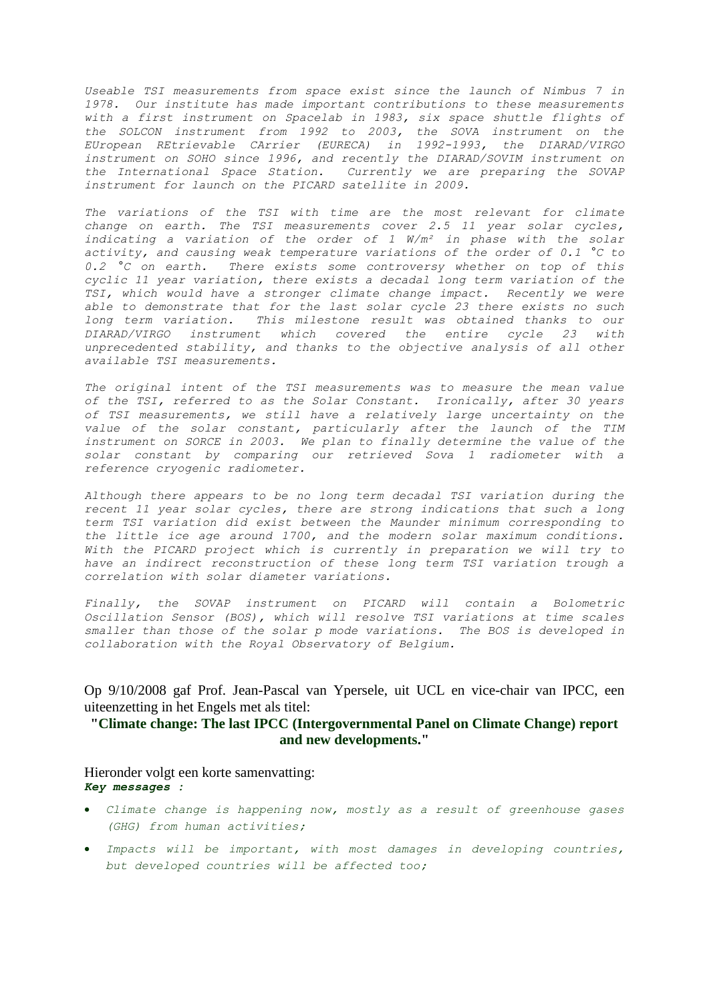*Useable TSI measurements from space exist since the launch of Nimbus 7 in 1978. Our institute has made important contributions to these measurements with a first instrument on Spacelab in 1983, six space shuttle flights of the SOLCON instrument from 1992 to 2003, the SOVA instrument on the EUropean REtrievable CArrier (EURECA) in 1992-1993, the DIARAD/VIRGO instrument on SOHO since 1996, and recently the DIARAD/SOVIM instrument on the International Space Station. Currently we are preparing the SOVAP instrument for launch on the PICARD satellite in 2009.*

*The variations of the TSI with time are the most relevant for climate change on earth. The TSI measurements cover 2.5 11 year solar cycles, indicating a variation of the order of 1 W/m² in phase with the solar activity, and causing weak temperature variations of the order of 0.1 °C to 0.2 °C on earth. There exists some controversy whether on top of this cyclic 11 year variation, there exists a decadal long term variation of the TSI, which would have a stronger climate change impact. Recently we were able to demonstrate that for the last solar cycle 23 there exists no such long term variation. This milestone result was obtained thanks to our DIARAD/VIRGO instrument which covered the entire cycle 23 with unprecedented stability, and thanks to the objective analysis of all other available TSI measurements.*

*The original intent of the TSI measurements was to measure the mean value of the TSI, referred to as the Solar Constant. Ironically, after 30 years of TSI measurements, we still have a relatively large uncertainty on the value of the solar constant, particularly after the launch of the TIM instrument on SORCE in 2003. We plan to finally determine the value of the solar constant by comparing our retrieved Sova 1 radiometer with a reference cryogenic radiometer.*

*Although there appears to be no long term decadal TSI variation during the recent 11 year solar cycles, there are strong indications that such a long term TSI variation did exist between the Maunder minimum corresponding to the little ice age around 1700, and the modern solar maximum conditions. With the PICARD project which is currently in preparation we will try to have an indirect reconstruction of these long term TSI variation trough a correlation with solar diameter variations.*

*Finally, the SOVAP instrument on PICARD will contain a Bolometric Oscillation Sensor (BOS), which will resolve TSI variations at time scales smaller than those of the solar p mode variations. The BOS is developed in collaboration with the Royal Observatory of Belgium.* 

Op 9/10/2008 gaf Prof. Jean-Pascal van Ypersele, uit UCL en vice-chair van IPCC, een uiteenzetting in het Engels met als titel:

## **"Climate change: The last IPCC (Intergovernmental Panel on Climate Change) report and new developments."**

Hieronder volgt een korte samenvatting: *Key messages :*

- *Climate change is happening now, mostly as a result of greenhouse gases (GHG) from human activities;*
- *Impacts will be important, with most damages in developing countries, but developed countries will be affected too;*